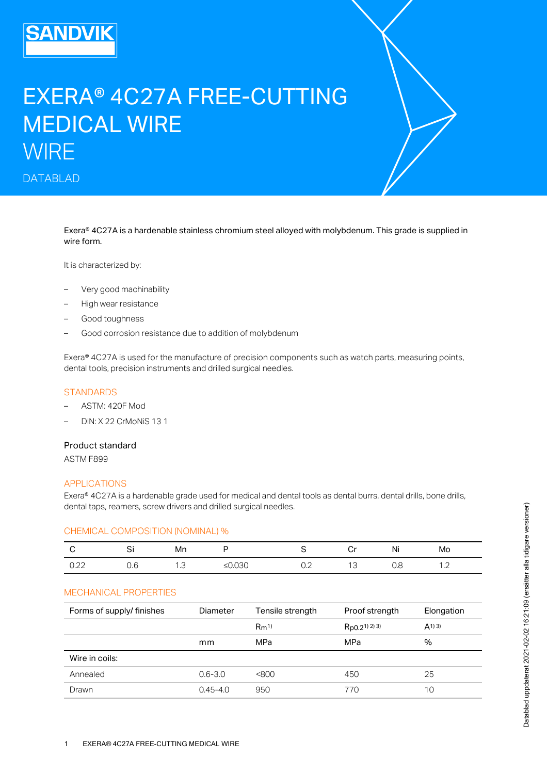# EXERA® 4C27A FREE-CUTTING MEDICAL WIRE **WIRE**

DATABLAD

Exera® 4C27A is a hardenable stainless chromium steel alloyed with molybdenum. This grade is supplied in wire form.

It is characterized by:

- Very good machinability
- High wear resistance
- Good toughness
- Good corrosion resistance due to addition of molybdenum

Exera® 4C27A is used for the manufacture of precision components such as watch parts, measuring points, dental tools, precision instruments and drilled surgical needles.

#### **STANDARDS**

- ASTM: 420F Mod
- DIN: X 22 CrMoNiS 13 1

### Product standard

ASTM F899

#### APPLICATIONS

Exera® 4C27A is a hardenable grade used for medical and dental tools as dental burrs, dental drills, bone drills, dental taps, reamers, screw drivers and drilled surgical needles.

### CHEMICAL COMPOSITION (NOMINAL) %

|                                  | $ -$ | Mn  |            |     | .<br>$\sim$ | NI  | Mo                       |
|----------------------------------|------|-----|------------|-----|-------------|-----|--------------------------|
| $\sim$<br>$\cup$ . $\sim$ $\sim$ |      | ں ، | ∿ ש<br>– ∼ | ◡.∠ |             | ◡.◡ | $\overline{\phantom{a}}$ |

#### MECHANICAL PROPERTIES

| $\mathbf C$    | Si                        | Mn  | P            | S                | Cr                | Ni  | Mo         |
|----------------|---------------------------|-----|--------------|------------------|-------------------|-----|------------|
| 0.22           | 0.6                       | 1.3 | ≤ $0.030$    | 0.2              | 13                | 0.8 | 1.2        |
|                | MECHANICAL PROPERTIES     |     |              |                  |                   |     |            |
|                | Forms of supply/ finishes |     | Diameter     | Tensile strength | Proof strength    |     | Elongation |
|                |                           |     |              | $Rm^{1}$         | $Rp0.2^{1}$ 2) 3) |     | (A1)3)     |
|                |                           |     | mm           | MPa              | MPa               |     | $\%$       |
| Wire in coils: |                           |     |              |                  |                   |     |            |
| Annealed       |                           |     | $0.6 - 3.0$  | <800             | 450               |     | 25         |
| Drawn          |                           |     | $0.45 - 4.0$ | 950              | 770               |     | 10         |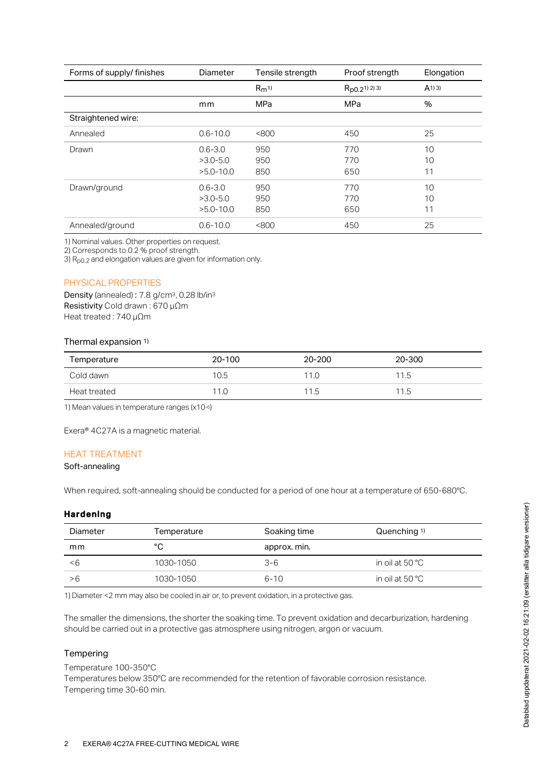| Forms of supply/ finishes | Diameter      | Tensile strength | Proof strength                 | Elongation |
|---------------------------|---------------|------------------|--------------------------------|------------|
|                           |               | $Rm^{1}$         | $R_{p0.2}$ <sup>1)</sup> 2) 3) | (A1)3)     |
|                           | mm            | <b>MPa</b>       | MPa                            | %          |
| Straightened wire:        |               |                  |                                |            |
| Annealed                  | $0.6 - 10.0$  | <800             | 450                            | 25         |
| Drawn                     | $0.6 - 3.0$   | 950              | 770                            | 10         |
|                           | $>3.0 - 5.0$  | 950              | 770                            | 10         |
|                           | $>5.0 - 10.0$ | 850              | 650                            | 11         |
| Drawn/ground              | $0.6 - 3.0$   | 950              | 770                            | 10         |
|                           | $>3.0 - 5.0$  | 950              | 770                            | 10         |
|                           | $>5.0 - 10.0$ | 850              | 650                            | 11         |
| Annealed/ground           | $0.6 - 10.0$  | <800             | 450                            | 25         |

1) Nominal values. Other properties on request.

2) Corresponds to 0.2 % proof strength.

3)  $R<sub>p0.2</sub>$  and elongation values are given for information only.

#### PHYSICAL PROPERTIES

Density (annealed):  $7.8$  g/cm $3$ , 0.28 lb/in $3$ Resistivity Cold drawn : 670 µΩm Heat treated : 740 µΩm

#### Thermal expansion 1)

| Temperature  | 20-100 | 20-200 | 20-300 |
|--------------|--------|--------|--------|
| Cold dawn    | 10.5   | 11.0   | 11.5   |
| Heat treated | 11.0   | 11.5   | 11.5   |

1) Mean values in temperature ranges (x10-6)

Exera® 4C27A is a magnetic material.

#### HEAT TREATMENT

# Soft-annealing

When required, soft-annealing should be conducted for a period of one hour at a temperature of 650-680°C.

## Hardening

| Diameter | Temperature | Soaking time | Quenching 1)              |
|----------|-------------|--------------|---------------------------|
| mm       | °C          | approx. min. |                           |
| -6       | 1030-1050   | $3 - 6$      | in oil at 50 $^{\circ}$ C |
| >6       | 1030-1050   | $6 - 10$     | in oil at 50 $^{\circ}$ C |
|          |             |              |                           |

1) Diameter <2 mm may also be cooled in air or, to prevent oxidation, in a protective gas.

The smaller the dimensions, the shorter the soaking time. To prevent oxidation and decarburization, hardening should be carried out in a protective gas atmosphere using nitrogen, argon or vacuum.

#### **Tempering**

Temperature 100-350°C

Temperatures below 350°C are recommended for the retention of favorable corrosion resistance. Tempering time 30-60 min.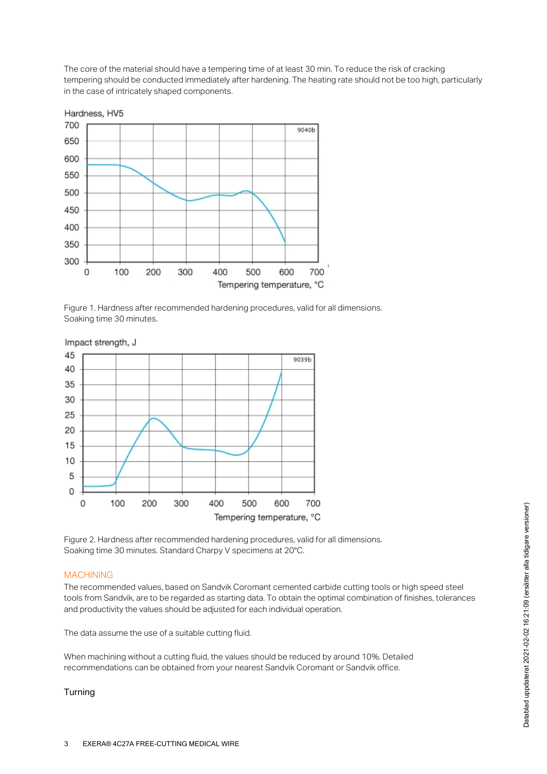The core of the material should have a tempering time of at least 30 min. To reduce the risk of cracking tempering should be conducted immediately after hardening. The heating rate should not be too high, particularly in the case of intricately shaped components.



Figure 1. Hardness after recommended hardening procedures, valid for all dimensions. Soaking time 30 minutes.



Figure 2. Hardness after recommended hardening procedures, valid for all dimensions. Soaking time 30 minutes. Standard Charpy V specimens at 20°C.

## MACHINING

The recommended values, based on Sandvik Coromant cemented carbide cutting tools or high speed steel tools from Sandvik, are to be regarded as starting data. To obtain the optimal combination of finishes, tolerances and productivity the values should be adjusted for each individual operation.

The data assume the use of a suitable cutting fluid.

When machining without a cutting fluid, the values should be reduced by around 10%. Detailed recommendations can be obtained from your nearest Sandvik Coromant or Sandvik office.

## Turning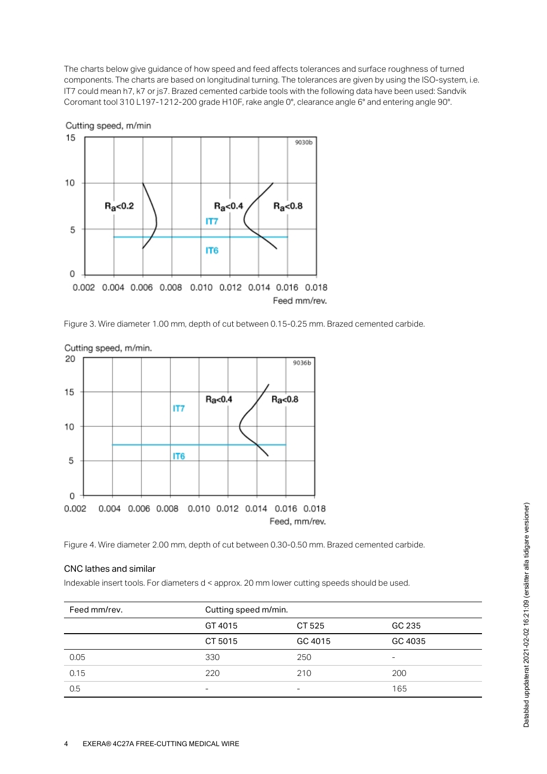The charts below give guidance of how speed and feed affects tolerances and surface roughness of turned components. The charts are based on longitudinal turning. The tolerances are given by using the ISO-system, i.e. IT7 could mean h7, k7 or js7. Brazed cemented carbide tools with the following data have been used: Sandvik Coromant tool 310 L197-1212-200 grade H10F, rake angle 0°, clearance angle 6° and entering angle 90°.



Figure 3. Wire diameter 1.00 mm, depth of cut between 0.15-0.25 mm. Brazed cemented carbide.





## CNC lathes and similar

|                        | Figure 4. Wire diameter 2.00 mm, depth of cut between 0.30-0.50 mm. Brazed cemented carbide. |         |         |
|------------------------|----------------------------------------------------------------------------------------------|---------|---------|
| CNC lathes and similar |                                                                                              |         |         |
|                        | Indexable insert tools. For diameters d < approx. 20 mm lower cutting speeds should be used. |         |         |
| Feed mm/rev.           | Cutting speed m/min.                                                                         |         |         |
|                        | GT 4015                                                                                      | CT 525  | GC 235  |
|                        | CT 5015                                                                                      | GC 4015 | GC 4035 |
|                        |                                                                                              |         |         |
| 0.05                   | 330                                                                                          | 250     |         |
| 0.15                   | 220                                                                                          | 210     | 200     |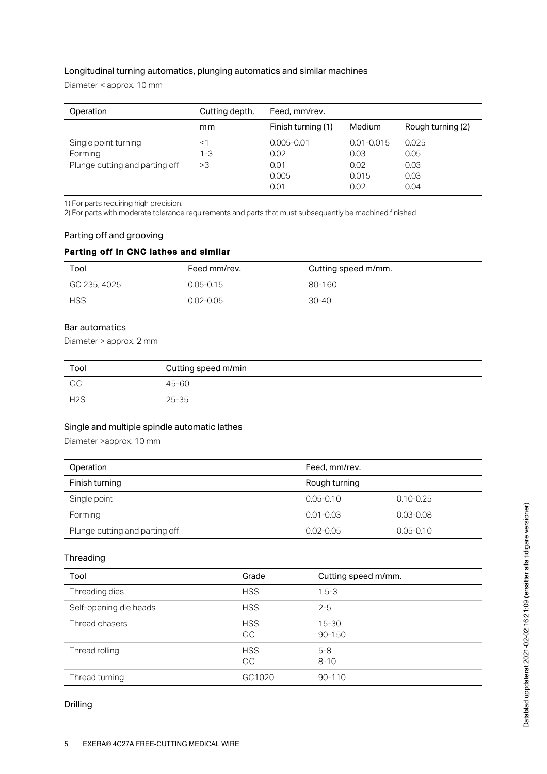# Longitudinal turning automatics, plunging automatics and similar machines

Diameter < approx. 10 mm

| Operation                      | Cutting depth, | Feed, mm/rev.      |                |                   |
|--------------------------------|----------------|--------------------|----------------|-------------------|
|                                | mm             | Finish turning (1) | Medium         | Rough turning (2) |
| Single point turning           | <1             | $0.005 - 0.01$     | $0.01 - 0.015$ | 0.025             |
| Forming                        | $1 - 3$        | 0.02               | 0.03           | 0.05              |
| Plunge cutting and parting off | >3             | 0.01               | 0.02           | 0.03              |
|                                |                | 0.005              | 0.015          | 0.03              |
|                                |                | 0.01               | 0.02           | 0.04              |

1) For parts requiring high precision.

2) For parts with moderate tolerance requirements and parts that must subsequently be machined finished

## Parting off and grooving

# Parting off in CNC lathes and similar

| Tool         | Feed mm/rev.  | Cutting speed m/mm. |
|--------------|---------------|---------------------|
| GC 235, 4025 | $0.05 - 0.15$ | 80-160              |
| <b>HSS</b>   | $0.02 - 0.05$ | $30 - 40$           |

# Bar automatics

Diameter > approx. 2 mm

| Tool             | Cutting speed m/min |
|------------------|---------------------|
| CC               | 45-60               |
| H <sub>2</sub> S | $25 - 35$           |

# Single and multiple spindle automatic lathes

Diameter >approx. 10 mm

| Operation                      | Feed, mm/rev. |               |
|--------------------------------|---------------|---------------|
| Finish turning                 | Rough turning |               |
| Single point                   | $0.05 - 0.10$ | $0.10 - 0.25$ |
| Forming                        | $0.01 - 0.03$ | $0.03 - 0.08$ |
| Plunge cutting and parting off | $0.02 - 0.05$ | $0.05 - 0.10$ |

# **Threading**

| Tool                   | Grade                   | Cutting speed m/mm. |
|------------------------|-------------------------|---------------------|
| Threading dies         | <b>HSS</b>              | $1.5 - 3$           |
| Self-opening die heads | <b>HSS</b>              | $2 - 5$             |
| Thread chasers         | <b>HSS</b><br><b>CC</b> | $15 - 30$<br>90-150 |
| Thread rolling         | <b>HSS</b><br><b>CC</b> | $5 - 8$<br>$8 - 10$ |
| Thread turning         | GC1020                  | 90-110              |

## Drilling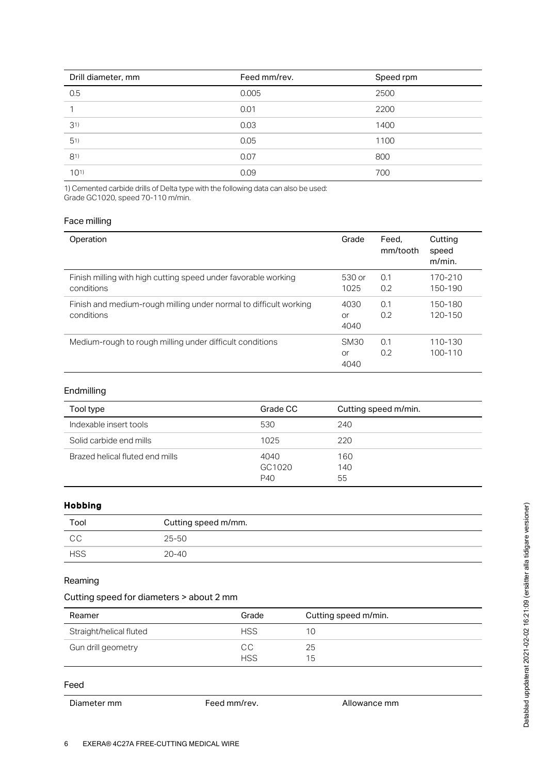| Drill diameter, mm | Feed mm/rev. | Speed rpm |
|--------------------|--------------|-----------|
| 0.5                | 0.005        | 2500      |
|                    | 0.01         | 2200      |
| 31)                | 0.03         | 1400      |
| 51)                | 0.05         | 1100      |
| 81)                | 0.07         | 800       |
| 1011               | 0.09         | 700       |

1) Cemented carbide drills of Delta type with the following data can also be used: Grade GC1020, speed 70-110 m/min.

# Face milling

| Operation                                                         | Grade       | Feed.<br>mm/tooth | Cutting<br>speed<br>$m/min$ . |
|-------------------------------------------------------------------|-------------|-------------------|-------------------------------|
| Finish milling with high cutting speed under favorable working    | 530 or      | 0.1               | 170-210                       |
| conditions                                                        | 1025        | 0.2               | 150-190                       |
| Finish and medium-rough milling under normal to difficult working | 4030        | 0.1               | 150-180                       |
| conditions                                                        | or          | 0.2               | 120-150                       |
|                                                                   | 4040        |                   |                               |
| Medium-rough to rough milling under difficult conditions          | <b>SM30</b> | 0.1               | 110-130                       |
|                                                                   | or          | 0.2               | 100-110                       |
|                                                                   | 4040        |                   |                               |

# Endmilling

| Tool type                       | Grade CC              | Cutting speed m/min. |
|---------------------------------|-----------------------|----------------------|
| Indexable insert tools          | 530                   | 240                  |
| Solid carbide end mills         | 1025                  | 220                  |
| Brazed helical fluted end mills | 4040<br>GC1020<br>P40 | 160<br>140<br>55     |

# Hobbing

| Tool       | Cutting speed m/mm. |
|------------|---------------------|
| CC         | 25-50               |
| <b>HSS</b> | $20 - 40$           |

# Reaming

# Cutting speed for diameters > about 2 mm

| Reamer                  | Grade            | Cutting speed m/min. |
|-------------------------|------------------|----------------------|
| Straight/helical fluted | <b>HSS</b>       | 10                   |
| Gun drill geometry      | CC<br><b>HSS</b> | 25<br>15             |

# Feed

Diameter mm Feed mm/rev. Allowance mm